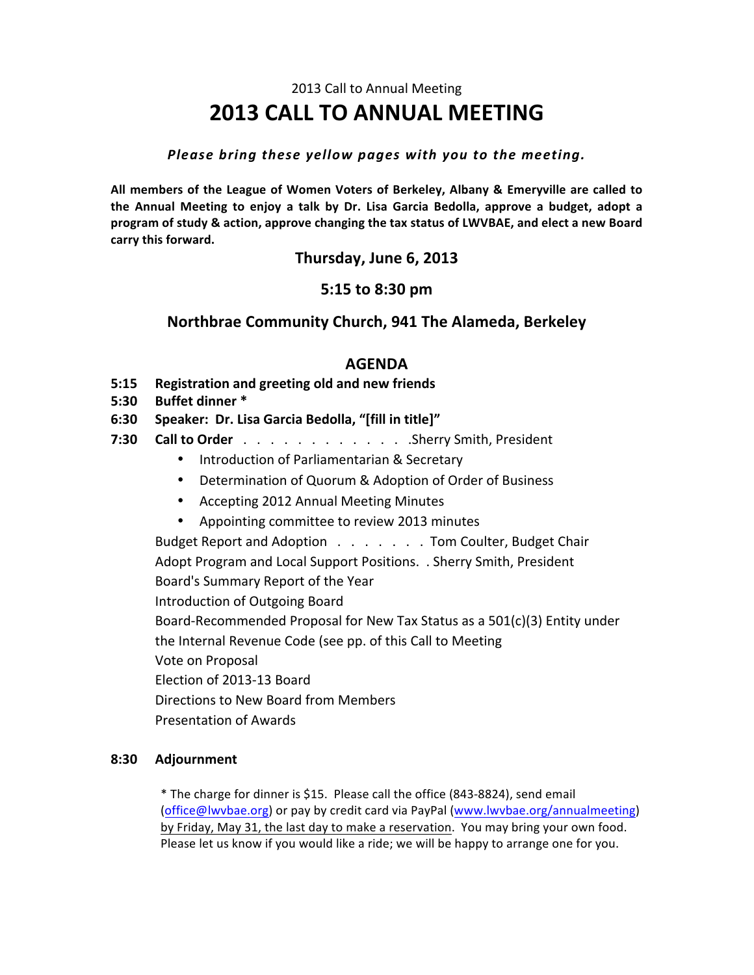# 2013 Call to Annual Meeting **2013 CALL%TO%ANNUAL%MEETING**

#### *Please bring these yellow pages with you to the meeting.*

All members of the League of Women Voters of Berkeley, Albany & Emeryville are called to **the% Annual% Meeting% to% enjoy% a% talk% by% Dr.% Lisa% Garcia% Bedolla,% approve% a% budget, adopt% a** program of study & action, approve changing the tax status of LWVBAE, and elect a new Board carry this forward.

**Thursday, June 6, 2013** 

# **5:15 to%8:30%pm**

## **Northbrae%Community%Church,%941%The%Alameda,%Berkeley**

## **AGENDA**

- **5:15** Registration and greeting old and new friends
- **5:30 Buffet dinner \***
- **6:30 Speaker:%%Dr.%Lisa%Garcia%Bedolla,%"[fill%in%title]"**
- **7:30 Call to Order**  $\ldots$   $\ldots$   $\ldots$   $\ldots$   $\ldots$  . Sherry Smith, President
	- Introduction of Parliamentarian & Secretary
	- Determination of Quorum & Adoption of Order of Business
	- Accepting 2012 Annual Meeting Minutes
	- Appointing committee to review 2013 minutes

Budget Report and Adoption . . . . . . . Tom Coulter, Budget Chair Adopt Program and Local Support Positions. . Sherry Smith, President Board's Summary Report of the Year Introduction of Outgoing Board Board-Recommended Proposal for New Tax Status as a  $501(c)(3)$  Entity under the Internal Revenue Code (see pp. of this Call to Meeting Vote on Proposal Election of 2013-13 Board Directions to New Board from Members Presentation of Awards

#### **8:30 Adjournment**

\* The charge for dinner is \$15. Please call the office (843-8824), send email (office@lwvbae.org) or pay by credit card via PayPal (www.lwvbae.org/annualmeeting) by Friday, May 31, the last day to make a reservation. You may bring your own food. Please let us know if you would like a ride; we will be happy to arrange one for you.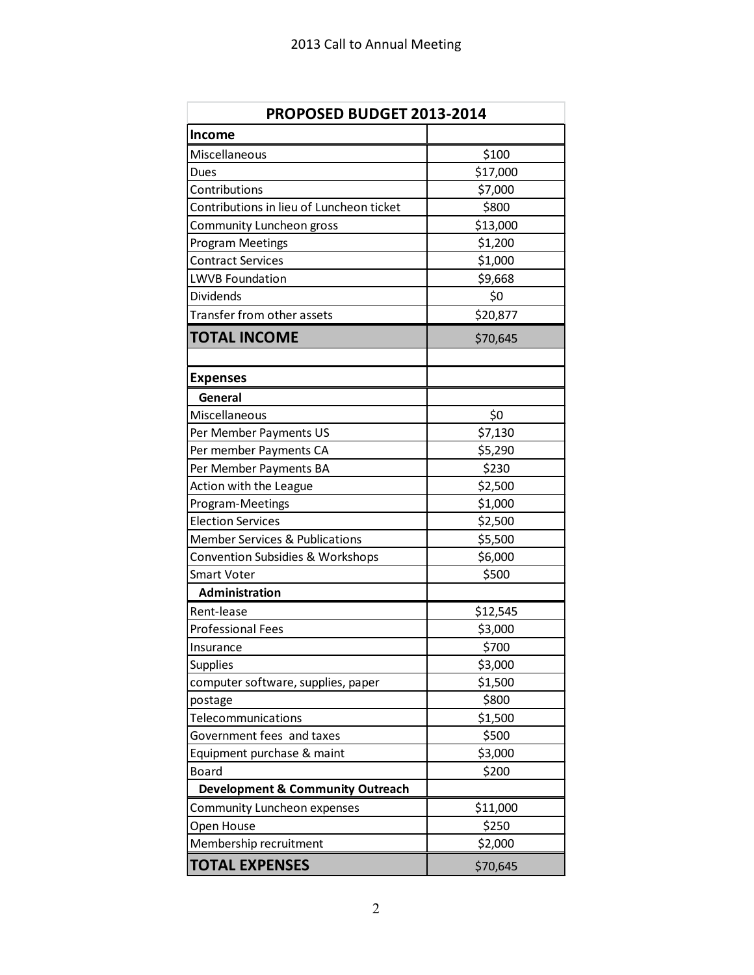| PROPOSED BUDGET 2013-2014                   |          |
|---------------------------------------------|----------|
| <b>Income</b>                               |          |
| Miscellaneous                               | \$100    |
| Dues                                        | \$17,000 |
| Contributions                               | \$7,000  |
| Contributions in lieu of Luncheon ticket    | \$800    |
| Community Luncheon gross                    | \$13,000 |
| Program Meetings                            | \$1,200  |
| <b>Contract Services</b>                    | \$1,000  |
| <b>LWVB Foundation</b>                      | \$9,668  |
| <b>Dividends</b>                            | \$0      |
| Transfer from other assets                  | \$20,877 |
| <b>TOTAL INCOME</b>                         | \$70,645 |
|                                             |          |
| <b>Expenses</b><br>General                  |          |
| Miscellaneous                               | \$0      |
| Per Member Payments US                      | \$7,130  |
| Per member Payments CA                      | \$5,290  |
| Per Member Payments BA                      | \$230    |
| Action with the League                      | \$2,500  |
| Program-Meetings                            | \$1,000  |
| <b>Election Services</b>                    | \$2,500  |
| <b>Member Services &amp; Publications</b>   | \$5,500  |
| Convention Subsidies & Workshops            | \$6,000  |
| <b>Smart Voter</b>                          | \$500    |
| <b>Administration</b>                       |          |
| Rent-lease                                  | \$12,545 |
| <b>Professional Fees</b>                    | \$3,000  |
| Insurance                                   | \$700    |
| <b>Supplies</b>                             | \$3,000  |
| computer software, supplies, paper          | \$1,500  |
| postage                                     | \$800    |
| Telecommunications                          | \$1,500  |
| Government fees and taxes                   | \$500    |
| Equipment purchase & maint                  | \$3,000  |
| Board                                       | \$200    |
| <b>Development &amp; Community Outreach</b> |          |
| Community Luncheon expenses                 | \$11,000 |
| Open House                                  | \$250    |
| Membership recruitment                      | \$2,000  |
| <b>TOTAL EXPENSES</b>                       | \$70,645 |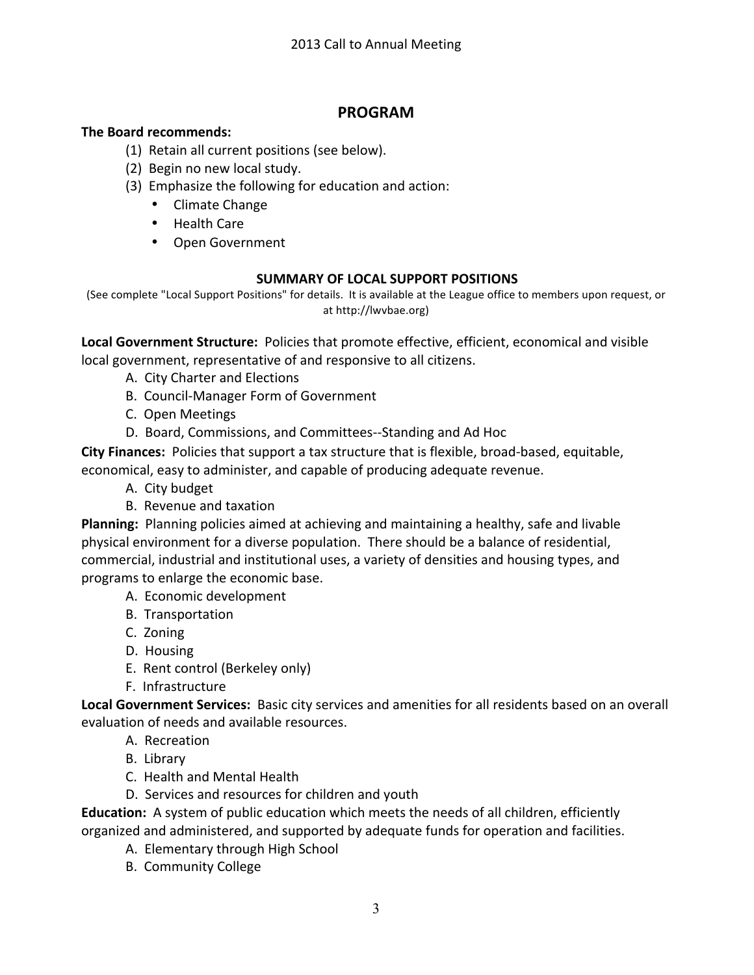# **PROGRAM**

### **The Board recommends:**

- (1) Retain all current positions (see below).
- (2) Begin no new local study.
- (3) Emphasize the following for education and action:
	- Climate Change
	- Health Care
	- Open Government

### **SUMMARY OF LOCAL SUPPORT POSITIONS**

(See complete "Local Support Positions" for details. It is available at the League office to members upon request, or at http://lwvbae.org)

**Local Government Structure:** Policies that promote effective, efficient, economical and visible local government, representative of and responsive to all citizens.

- A. City Charter and Elections
- B. Council-Manager Form of Government
- C. Open Meetings
- D. Board, Commissions, and Committees--Standing and Ad Hoc

**City Finances:** Policies that support a tax structure that is flexible, broad-based, equitable, economical, easy to administer, and capable of producing adequate revenue.

- A. City budget
- B. Revenue and taxation

Planning: Planning policies aimed at achieving and maintaining a healthy, safe and livable physical environment for a diverse population. There should be a balance of residential, commercial, industrial and institutional uses, a variety of densities and housing types, and programs to enlarge the economic base.

- A. Economic development
- B. Transportation
- C. Zoning
- D. Housing
- E. Rent control (Berkeley only)
- F. Infrastructure

Local Government Services: Basic city services and amenities for all residents based on an overall evaluation of needs and available resources.

- A. Recreation
- B. Library
- C. Health and Mental Health
- D. Services and resources for children and youth

**Education:** A system of public education which meets the needs of all children, efficiently organized and administered, and supported by adequate funds for operation and facilities.

- A. Elementary through High School
- B. Community College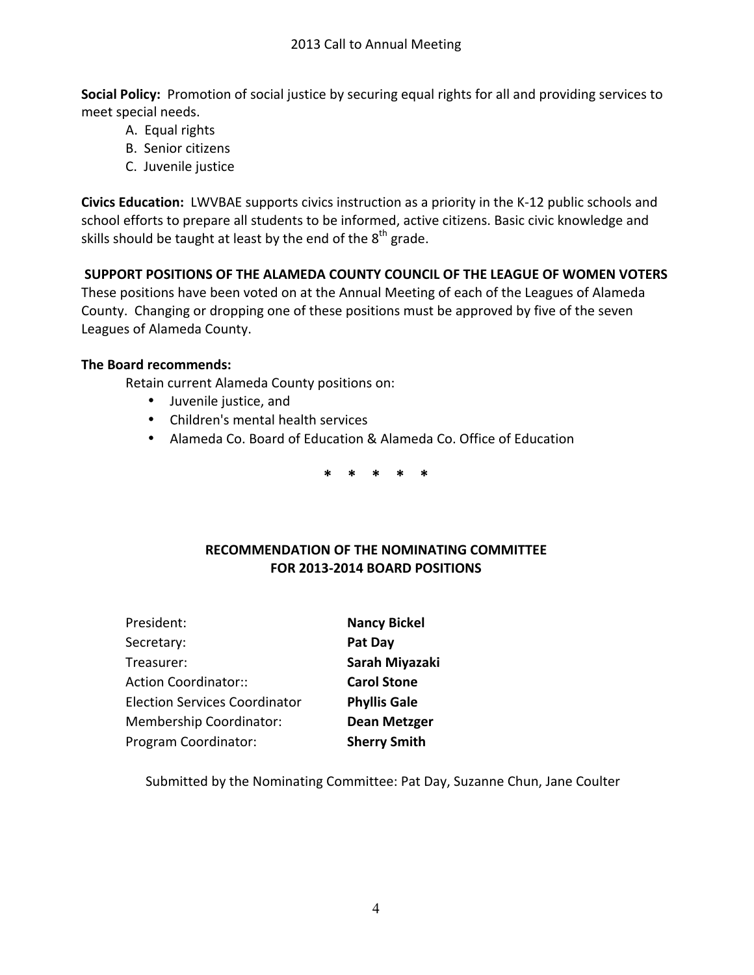**Social Policy:** Promotion of social justice by securing equal rights for all and providing services to meet special needs.

- A. Equal rights
- B. Senior citizens
- C. Juvenile justice

**Civics Education:** LWVBAE supports civics instruction as a priority in the K-12 public schools and school efforts to prepare all students to be informed, active citizens. Basic civic knowledge and skills should be taught at least by the end of the  $8<sup>th</sup>$  grade.

## SUPPORT POSITIONS OF THE ALAMEDA COUNTY COUNCIL OF THE LEAGUE OF WOMEN VOTERS

These positions have been voted on at the Annual Meeting of each of the Leagues of Alameda County. Changing or dropping one of these positions must be approved by five of the seven Leagues of Alameda County.

#### **The Board recommends:**

Retain current Alameda County positions on:

- Juvenile justice, and
- Children's mental health services
- Alameda Co. Board of Education & Alameda Co. Office of Education

**\*%%%%\*%%%%\*%%%%\*%%%%\***

### RECOMMENDATION OF THE NOMINATING COMMITTEE **FOR 2013-2014 BOARD POSITIONS**

| President:                           | <b>Nancy Bickel</b> |
|--------------------------------------|---------------------|
| Secretary:                           | Pat Day             |
| Treasurer:                           | Sarah Miyazaki      |
| <b>Action Coordinator::</b>          | <b>Carol Stone</b>  |
| <b>Election Services Coordinator</b> | <b>Phyllis Gale</b> |
| <b>Membership Coordinator:</b>       | <b>Dean Metzger</b> |
| Program Coordinator:                 | <b>Sherry Smith</b> |

Submitted by the Nominating Committee: Pat Day, Suzanne Chun, Jane Coulter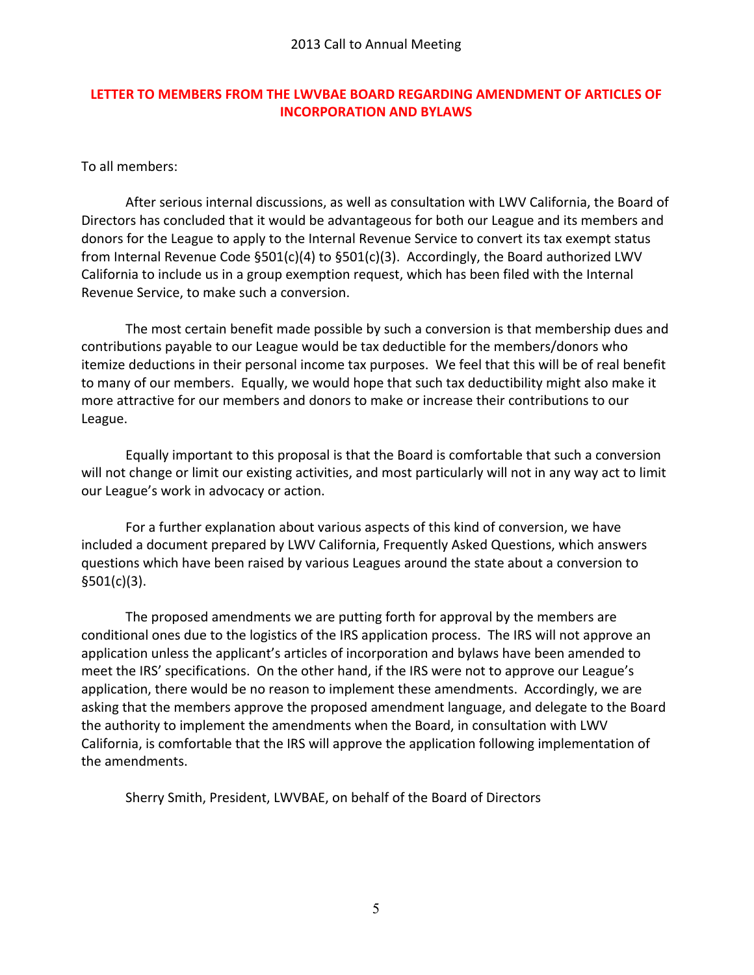### **LETTER TO MEMBERS FROM THE LWVBAE BOARD REGARDING AMENDMENT OF ARTICLES OF INCORPORATION AND BYLAWS**

To all members:

After serious internal discussions, as well as consultation with LWV California, the Board of Directors has concluded that it would be advantageous for both our League and its members and donors for the League to apply to the Internal Revenue Service to convert its tax exempt status from Internal Revenue Code §501(c)(4) to §501(c)(3). Accordingly, the Board authorized LWV California to include us in a group exemption request, which has been filed with the Internal Revenue Service, to make such a conversion.

The most certain benefit made possible by such a conversion is that membership dues and contributions payable to our League would be tax deductible for the members/donors who itemize deductions in their personal income tax purposes. We feel that this will be of real benefit to many of our members. Equally, we would hope that such tax deductibility might also make it more attractive for our members and donors to make or increase their contributions to our League.

Equally important to this proposal is that the Board is comfortable that such a conversion will not change or limit our existing activities, and most particularly will not in any way act to limit our League's work in advocacy or action.

For a further explanation about various aspects of this kind of conversion, we have included a document prepared by LWV California, Frequently Asked Questions, which answers questions which have been raised by various Leagues around the state about a conversion to §501(c)(3).

The proposed amendments we are putting forth for approval by the members are conditional ones due to the logistics of the IRS application process. The IRS will not approve an application unless the applicant's articles of incorporation and bylaws have been amended to meet the IRS' specifications. On the other hand, if the IRS were not to approve our League's application, there would be no reason to implement these amendments. Accordingly, we are asking that the members approve the proposed amendment language, and delegate to the Board the authority to implement the amendments when the Board, in consultation with LWV California, is comfortable that the IRS will approve the application following implementation of the amendments.

Sherry Smith, President, LWVBAE, on behalf of the Board of Directors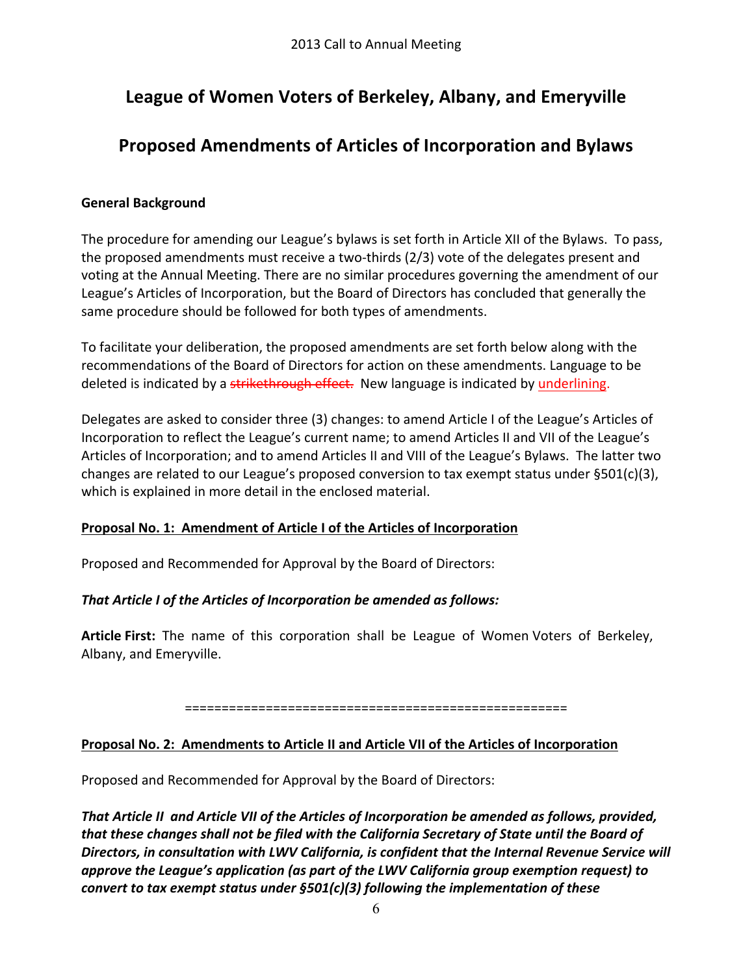# League of Women Voters of Berkeley, Albany, and Emeryville

# **Proposed%Amendments%of%Articles%of%Incorporation%and%Bylaws**

### **General Background**

The procedure for amending our League's bylaws is set forth in Article XII of the Bylaws. To pass, the proposed amendments must receive a two-thirds (2/3) vote of the delegates present and voting at the Annual Meeting. There are no similar procedures governing the amendment of our League's Articles of Incorporation, but the Board of Directors has concluded that generally the same procedure should be followed for both types of amendments.

To facilitate your deliberation, the proposed amendments are set forth below along with the recommendations of the Board of Directors for action on these amendments. Language to be deleted is indicated by a strikethrough effect. New language is indicated by underlining.

Delegates are asked to consider three (3) changes: to amend Article I of the League's Articles of Incorporation to reflect the League's current name; to amend Articles II and VII of the League's Articles of Incorporation; and to amend Articles II and VIII of the League's Bylaws. The latter two changes are related to our League's proposed conversion to tax exempt status under §501(c)(3), which is explained in more detail in the enclosed material.

### **Proposal No. 1: Amendment of Article I of the Articles of Incorporation**

Proposed and Recommended for Approval by the Board of Directors:

# **That Article I of the Articles of Incorporation be amended as follows:**

Article First: The name of this corporation shall be League of Women Voters of Berkeley, Albany, and Emeryville.

====================================================

# Proposal No. 2: Amendments to Article II and Article VII of the Articles of Incorporation

Proposed and Recommended for Approval by the Board of Directors:

*That&Article&II&&and&Article&VII&of&the&Articles&of&Incorporation&be&amended&as&follows,&provided,&* that these changes shall not be filed with the California Secretary of State until the Board of **Directors, in consultation with LWV California, is confident that the Internal Revenue Service will** *approve the League's application (as part of the LWV California group exemption request) to convert to tax exempt status under §501(c)(3) following the implementation of these*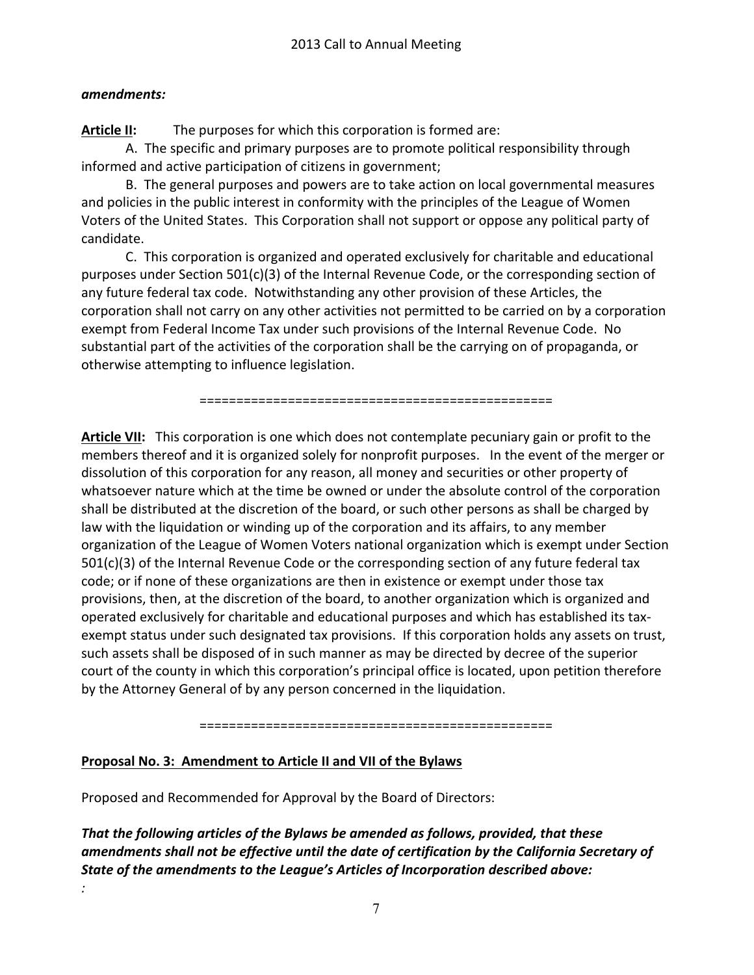### *amendments:*

*:*

**Article II:** The purposes for which this corporation is formed are:

A. The specific and primary purposes are to promote political responsibility through informed and active participation of citizens in government;

B. The general purposes and powers are to take action on local governmental measures and policies in the public interest in conformity with the principles of the League of Women Voters of the United States. This Corporation shall not support or oppose any political party of candidate.

C. This corporation is organized and operated exclusively for charitable and educational purposes under Section  $501(c)(3)$  of the Internal Revenue Code, or the corresponding section of any future federal tax code. Notwithstanding any other provision of these Articles, the corporation shall not carry on any other activities not permitted to be carried on by a corporation exempt from Federal Income Tax under such provisions of the Internal Revenue Code. No substantial part of the activities of the corporation shall be the carrying on of propaganda, or otherwise attempting to influence legislation.

================================================

Article VII: This corporation is one which does not contemplate pecuniary gain or profit to the members thereof and it is organized solely for nonprofit purposes. In the event of the merger or dissolution of this corporation for any reason, all money and securities or other property of whatsoever nature which at the time be owned or under the absolute control of the corporation shall be distributed at the discretion of the board, or such other persons as shall be charged by law with the liquidation or winding up of the corporation and its affairs, to any member organization of the League of Women Voters national organization which is exempt under Section  $501(c)(3)$  of the Internal Revenue Code or the corresponding section of any future federal tax code; or if none of these organizations are then in existence or exempt under those tax provisions, then, at the discretion of the board, to another organization which is organized and operated exclusively for charitable and educational purposes and which has established its taxexempt status under such designated tax provisions. If this corporation holds any assets on trust, such assets shall be disposed of in such manner as may be directed by decree of the superior court of the county in which this corporation's principal office is located, upon petition therefore by the Attorney General of by any person concerned in the liquidation.

================================================

# **Proposal No. 3: Amendment to Article II and VII of the Bylaws**

Proposed and Recommended for Approval by the Board of Directors:

*That&the following&articles&of&the&Bylaws&be&amended&as&follows,&provided,&that&these&* amendments shall not be effective until the date of certification by the California Secretary of *State of the amendments to the League's Articles of Incorporation described above:*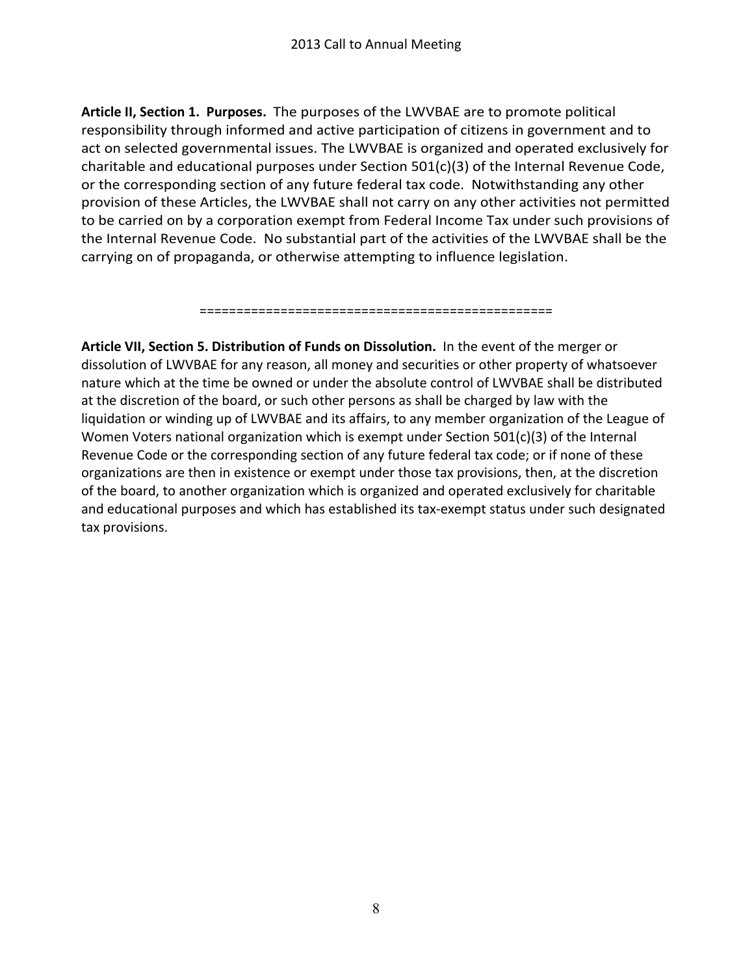Article II, Section 1. Purposes. The purposes of the LWVBAE are to promote political responsibility through informed and active participation of citizens in government and to act on selected governmental issues. The LWVBAE is organized and operated exclusively for charitable and educational purposes under Section  $501(c)(3)$  of the Internal Revenue Code, or the corresponding section of any future federal tax code. Notwithstanding any other provision of these Articles, the LWVBAE shall not carry on any other activities not permitted to be carried on by a corporation exempt from Federal Income Tax under such provisions of the Internal Revenue Code. No substantial part of the activities of the LWVBAE shall be the carrying on of propaganda, or otherwise attempting to influence legislation.

================================================

**Article VII, Section 5. Distribution of Funds on Dissolution.** In the event of the merger or dissolution of LWVBAE for any reason, all money and securities or other property of whatsoever nature which at the time be owned or under the absolute control of LWVBAE shall be distributed at the discretion of the board, or such other persons as shall be charged by law with the liquidation or winding up of LWVBAE and its affairs, to any member organization of the League of Women Voters national organization which is exempt under Section  $501(c)(3)$  of the Internal Revenue Code or the corresponding section of any future federal tax code; or if none of these organizations are then in existence or exempt under those tax provisions, then, at the discretion of the board, to another organization which is organized and operated exclusively for charitable and educational purposes and which has established its tax-exempt status under such designated tax provisions.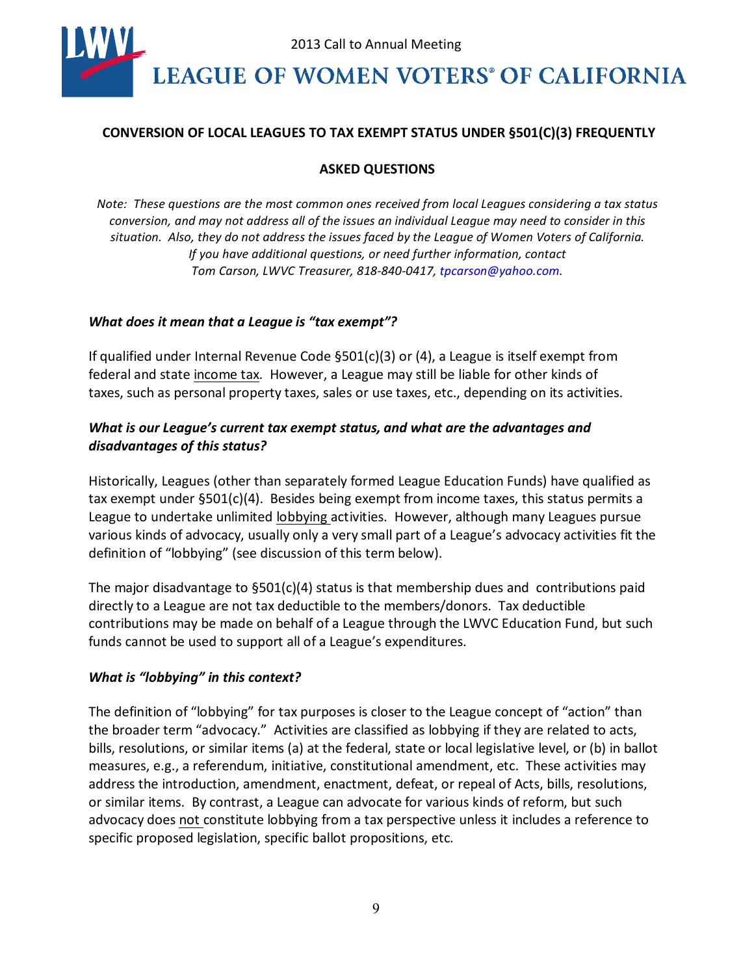

#### **CONVERSION OF LOCAL%LEAGUES TO TAX EXEMPT%STATUS UNDER §501(C)(3)%FREQUENTLY**

#### **ASKED QUESTIONS**

*Note: These questions are the most common ones received from local Leagues considering a tax status conversion, and may"not address all of the issues an individual League"may"need to consider in this" situation." Also,"they"do not address the issues faced by the"League"of Women Voters of California. If* you have additional questions, or need further information, contact *Tom Carson, LWVC Treasurer, 818-840-0417, tpcarson@yahoo.com.* 

#### *What does it mean that a League is "tax exempt"?*

If qualified under Internal Revenue Code  $\S501(c)(3)$  or (4), a League is itself exempt from federal and state income tax. However, a League may still be liable for other kinds of taxes, such as personal property taxes, sales or use taxes, etc., depending on its activities.

### *What is our League's current tax exempt status, and what are the advantages and* disadvantages of this status?

Historically, Leagues (other than separately formed League Education Funds) have qualified as tax exempt under  $\S501(c)(4)$ . Besides being exempt from income taxes, this status permits a League to undertake unlimited lobbying activities. However, although many Leagues pursue various kinds of advocacy, usually only a very small part of a League's advocacy activities fit the definition of "lobbying" (see discussion of this term below).

The major disadvantage to  $\S501(c)(4)$  status is that membership dues and contributions paid directly to a League are not tax deductible to the members/donors.% Tax deductible contributions may be made on behalf of a League through the LWVC Education Fund, but such funds cannot be used to support all of a League's expenditures.

### *What is "lobbying" in this context?*

The definition of "lobbying" for tax purposes is closer to the League concept of "action" than the broader term "advocacy." Activities are classified as lobbying if they are related to acts, bills, resolutions, or similar items (a) at the federal, state or local legislative level, or (b) in ballot measures, e.g., a referendum, initiative, constitutional amendment, etc. These activities may address the introduction, amendment, enactment, defeat, or repeal of Acts, bills, resolutions, or similar items. By contrast, a League can advocate for various kinds of reform, but such advocacy does not constitute lobbying from a tax perspective unless it includes a reference to specific proposed legislation, specific ballot propositions, etc.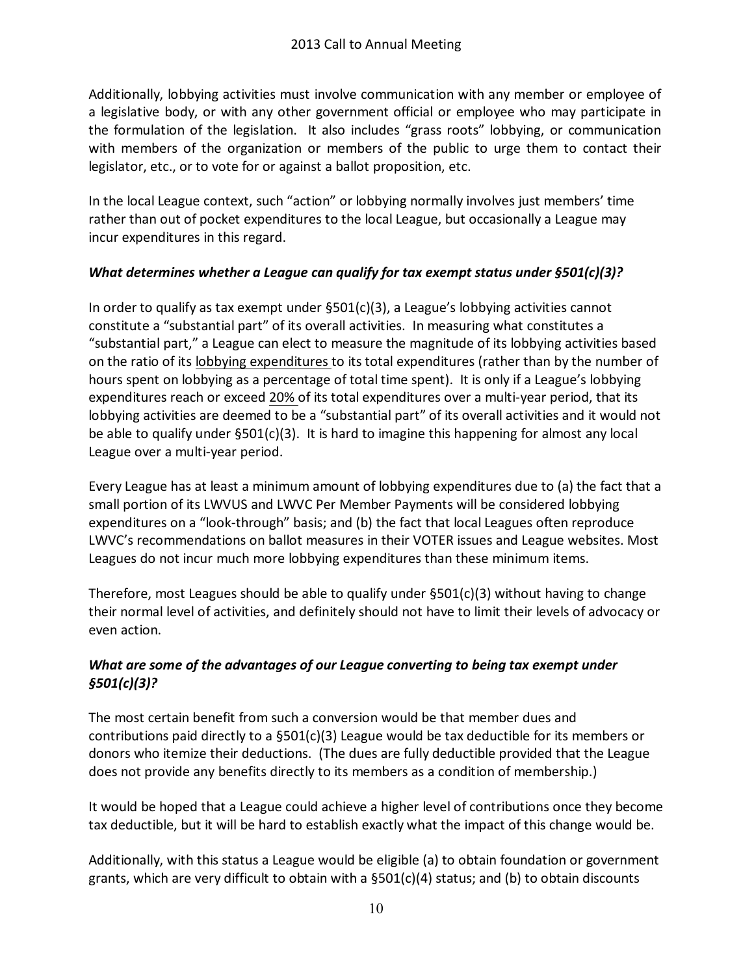Additionally, lobbying activities must involve communication with any member or employee of% a legislative body, or with any other government official or employee who may participate in the formulation of the legislation. It also includes "grass roots" lobbying, or communication with members of the organization or members of the public to urge them to contact their legislator, etc., or to vote for or against a ballot proposition, etc.

In the local League context, such "action" or lobbying normally involves just members' time rather than out of pocket expenditures to the local League, but occasionally a League may incur expenditures in this regard.

## *What determines whether a League can qualify for tax exempt status under §501(c)(3)?*

In order to qualify as tax exempt under  $\S501(c)(3)$ , a League's lobbying activities cannot constitute a "substantial part" of its overall activities. In measuring what constitutes a "substantial part," a League can elect to measure the magnitude of its lobbying activities based on the ratio of its lobbying expenditures to its total expenditures (rather than by the number of hours spent on lobbying as a percentage of total time spent). It is only if a League's lobbying expenditures reach or exceed 20% of its total expenditures over a multi-year period, that its lobbying activities are deemed to be a "substantial part" of its overall activities and it would not be able to qualify under  $\S501(c)(3)$ . It is hard to imagine this happening for almost any local League over a multi-year period.

Every League has at least a minimum amount of lobbying expenditures due to (a) the fact that a small portion of its LWVUS and LWVC Per Member Payments will be considered lobbying expenditures on a "look-through" basis; and (b) the fact that local Leagues often reproduce LWVC's recommendations on ballot measures in their VOTER issues and League websites. Most Leagues do not incur much more lobbying expenditures than these minimum items.

Therefore, most Leagues should be able to qualify under  $\S501(c)(3)$  without having to change their normal level of activities, and definitely should not have to limit their levels of advocacy or even action.

# *What* are some of the advantages of our League converting to being tax exempt under *§501(c)(3)?*

The most certain benefit from such a conversion would be that member dues and contributions paid directly to a  $\S501(c)(3)$  League would be tax deductible for its members or donors who itemize their deductions. (The dues are fully deductible provided that the League does not provide any benefits directly to its members as a condition of membership.)

It would be hoped that a League could achieve a higher level of contributions once they become tax deductible, but it will be hard to establish exactly what the impact of this change would be.

Additionally, with this status a League would be eligible (a) to obtain foundation or government grants, which are very difficult to obtain with a  $\S501(c)(4)$  status; and (b) to obtain discounts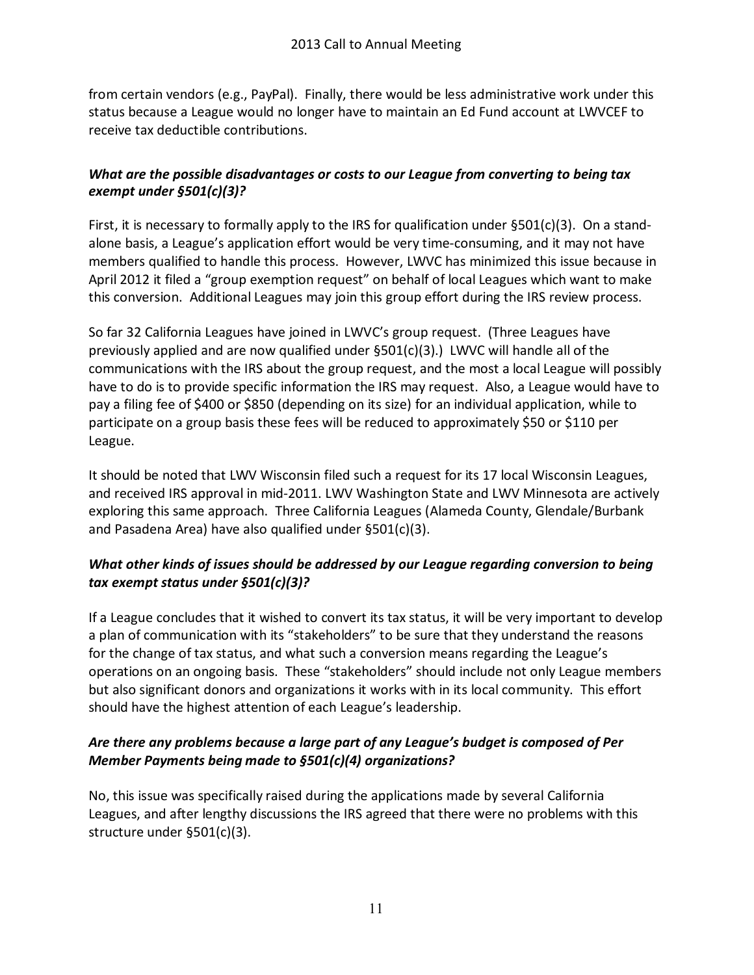from certain vendors (e.g., PayPal). Finally, there would be less administrative work under this status because a League would no longer have to maintain an Ed Fund account at LWVCEF to receive tax deductible contributions.

## *What are the possible disadvantages or costs to our League from converting to being tax exempt under&§501(c)(3)?*

First, it is necessary to formally apply to the IRS for qualification under  $\S501(c)(3)$ . On a standalone basis, a League's application effort would be very time-consuming, and it may not have members qualified to handle this process. However, LWVC has minimized this issue because in April 2012 it filed a "group exemption request" on behalf of local Leagues which want to make this conversion. Additional Leagues may join this group effort during the IRS review process.

So far 32 California Leagues have joined in LWVC's group request. (Three Leagues have previously applied and are now qualified under  $\S501(c)(3)$ .) LWVC will handle all of the communications with the IRS about the group request, and the most a local League will possibly have to do is to provide specific information the IRS may request. Also, a League would have to pay a filing fee of \$400 or \$850 (depending on its size) for an individual application, while to participate on a group basis these fees will be reduced to approximately \$50 or \$110 per League.

It should be noted that LWV Wisconsin filed such a request for its 17 local Wisconsin Leagues, and received IRS approval in mid-2011. LWV Washington State and LWV Minnesota are actively exploring this same approach. Three California Leagues (Alameda County, Glendale/Burbank and Pasadena Area) have also qualified under §501(c)(3).

# *What* other kinds of *issues should be addressed by our League regarding conversion to being tax exempt status&under&§501(c)(3)?*

If a League concludes that it wished to convert its tax status, it will be very important to develop a plan of communication with its "stakeholders" to be sure that they understand the reasons for the change of tax status, and what such a conversion means regarding the League's operations on an ongoing basis. These "stakeholders" should include not only League members but also significant donors and organizations it works with in its local community. This effort should have the highest attention of each League's leadership.

# Are *there* any problems because a large part of any League's budget is composed of Per *Member&Payments&being made to §501(c)(4) organizations?*

No, this issue was specifically raised during the applications made by several California Leagues, and after lengthy discussions the IRS agreed that there were no problems with this structure under §501(c)(3).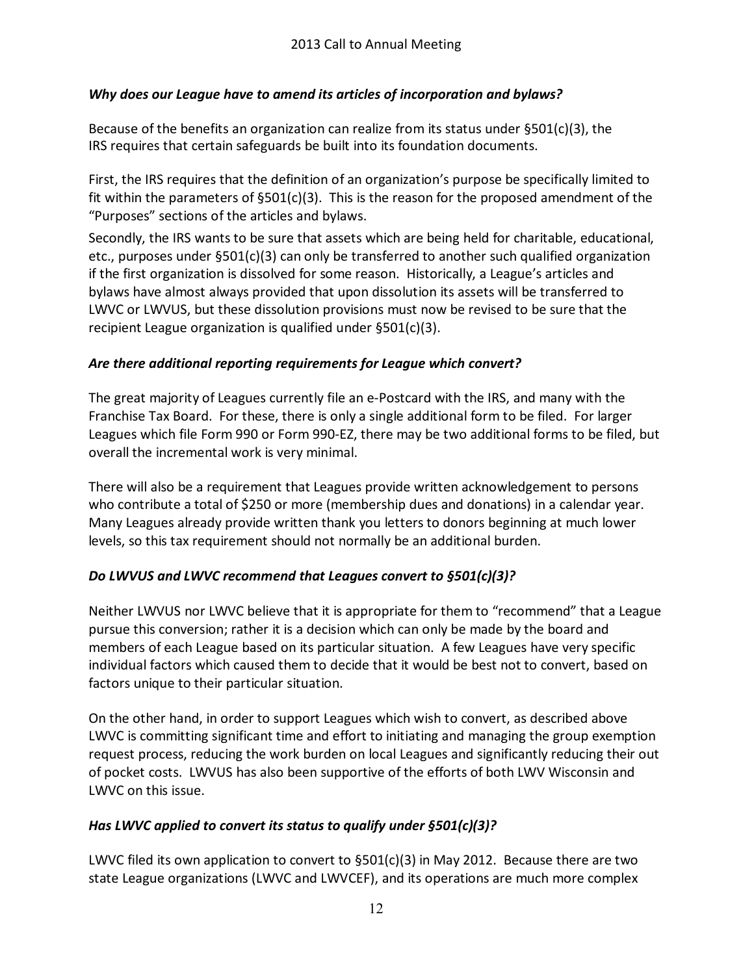# *Why* does our League have to amend its articles of incorporation and bylaws?

Because of the benefits an organization can realize from its status under  $\S501(c)(3)$ , the IRS requires that certain safeguards be built into its foundation documents.

First, the IRS requires that the definition of an organization's purpose be specifically limited to fit within the parameters of §501(c)(3). This is the reason for the proposed amendment of the "Purposes" sections of the articles and bylaws.

Secondly, the IRS wants to be sure that assets which are being held for charitable, educational, etc., purposes under  $\S501(c)(3)$  can only be transferred to another such qualified organization if the first organization is dissolved for some reason. Historically, a League's articles and bylaws have almost always provided that upon dissolution its assets will be transferred to LWVC or LWVUS, but these dissolution provisions must now be revised to be sure that the recipient League organization is qualified under  $\S501(c)(3)$ .

# *Are there additional reporting requirements&for League which convert?*

The great majority of Leagues currently file an e-Postcard with the IRS, and many with the Franchise Tax Board. For these, there is only a single additional form to be filed. For larger Leagues which file Form 990 or Form 990-EZ, there may be two additional forms to be filed, but overall the incremental work is very minimal.

There will also be a requirement that Leagues provide written acknowledgement to persons who contribute a total of \$250 or more (membership dues and donations) in a calendar year. Many Leagues already provide written thank you letters to donors beginning at much lower levels, so this tax requirement should not normally be an additional burden.

# *Do LWVUS* and *LWVC* recommend *that Leagues convert to §501(c)(3)?*

Neither LWVUS nor LWVC believe that it is appropriate for them to "recommend" that a League pursue this conversion; rather it is a decision which can only be made by the board and members of each League based on its particular situation. A few Leagues have very specific individual factors which caused them to decide that it would be best not to convert, based on factors unique to their particular situation.

On the other hand, in order to support Leagues which wish to convert, as described above LWVC is committing significant time and effort to initiating and managing the group exemption request process, reducing the work burden on local Leagues and significantly reducing their out of pocket costs. LWVUS has also been supportive of the efforts of both LWV Wisconsin and LWVC on this issue.

# *Has LWVC applied to convert its status to qualify under §501(c)(3)?*

LWVC filed its own application to convert to  $\S501(c)(3)$  in May 2012. Because there are two state League organizations (LWVC and LWVCEF), and its operations are much more complex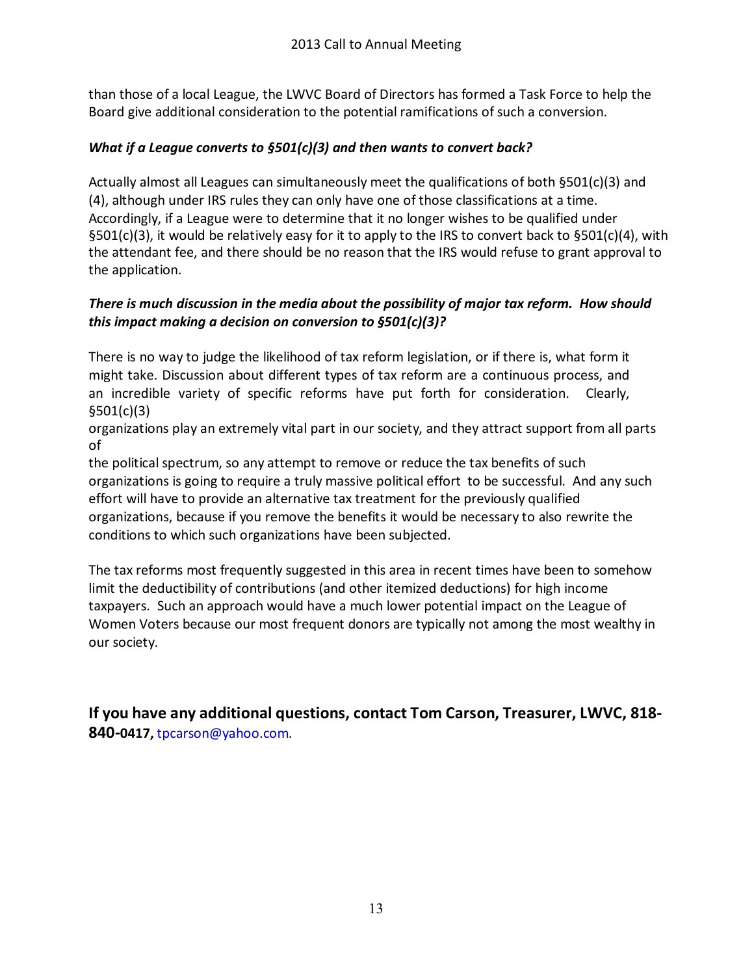than those of a local League, the LWVC Board of Directors has formed a Task Force to help the Board give additional consideration to the potential ramifications of such a conversion.

## *What if a League converts to §501(c)(3) and then wants to convert back?*

Actually almost all Leagues can simultaneously meet the qualifications of both §501(c)(3) and  $(4)$ , although under IRS rules they can only have one of those classifications at a time. Accordingly, if a League were to determine that it no longer wishes to be qualified under §501(c)(3), it would be relatively easy for it to apply to the IRS to convert back to §501(c)(4), with the attendant fee, and there should be no reason that the IRS would refuse to grant approval to the application.

### *There* is much discussion in the media about the possibility of major tax reform. How should *this&impact making a decision on conversion to §501(c)(3)?*

There is no way to judge the likelihood of tax reform legislation, or if there is, what form it% might take. Discussion about different types of tax reform are a continuous process, and an incredible variety of specific reforms have put forth for consideration. Clearly, §501(c)(3)

organizations%play an extremely vital part in our society, and they attract support from all parts of

the political spectrum, so any attempt to remove or reduce the tax benefits of such organizations is going to require a truly massive political effort to be successful. And any such effort will have to provide an alternative tax treatment for the previously qualified organizations, because if you remove the benefits it would be necessary to also rewrite the conditions to which such organizations have been subjected.

The tax reforms most frequently suggested in this area in recent times have been to somehow limit the deductibility of contributions (and other itemized deductions) for high income taxpayers. Such an approach would have a much lower potential impact on the League of Women Voters because our most frequent donors are typically not among the most wealthy in our society.

**16** you have any additional questions, contact Tom Carson, Treasurer, LWVC, 818-**840-0417, tpcarson@yahoo.com.**